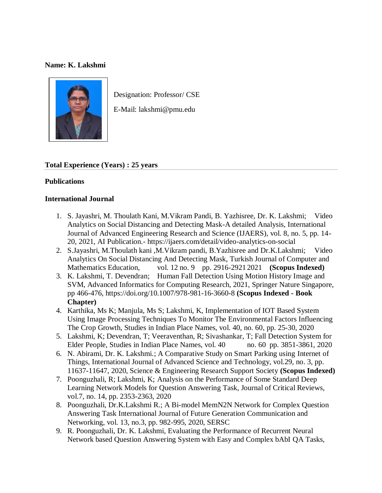## **Name: K. Lakshmi**



Designation: Professor/ CSE

E-Mail: lakshmi@pmu.edu

## **Total Experience (Years) : 25 years**

## **Publications**

## **International Journal**

- 1. S. Jayashri, M. Thoulath Kani, M.Vikram Pandi, B. Yazhisree, Dr. K. Lakshmi; Video Analytics on Social Distancing and Detecting Mask-A detailed Analysis, International Journal of Advanced Engineering Research and Science (IJAERS), vol. 8, no. 5, pp. 14- 20, 2021, AI Publication.- https://ijaers.com/detail/video-analytics-on-social
- 2. S.Jayashri, M.Thoulath kani ,M.Vikram pandi, B.Yazhisree and Dr.K.Lakshmi; Video Analytics On Social Distancing And Detecting Mask, Turkish Journal of Computer and Mathematics Education, vol. 12 no. 9 pp. 2916-2921 2021 **(Scopus Indexed)**
- 3. K. Lakshmi, T. Devendran; Human Fall Detection Using Motion History Image and SVM, Advanced Informatics for Computing Research, 2021, Springer Nature Singapore, pp 466-476,<https://doi.org/10.1007/978-981-16-3660-8> **(Scopus Indexed - Book Chapter)**
- 4. Karthika, Ms K; Manjula, Ms S; Lakshmi, K, Implementation of IOT Based System Using Image Processing Techniques To Monitor The Environmental Factors Influencing The Crop Growth, Studies in Indian Place Names, vol. 40, no. 60, pp. 25-30, 2020
- 5. Lakshmi, K; Devendran, T; Veeraventhan, R; Sivashankar, T; Fall Detection System for Elder People, Studies in Indian Place Names, vol. 40 no. 60 pp. 3851-3861, 2020
- 6. N. Abirami, Dr. K. Lakshmi.; A Comparative Study on Smart Parking using Internet of Things, International Journal of Advanced Science and Technology, vol.29, no. 3, pp. 11637-11647, 2020, Science & Engineering Research Support Society **(Scopus Indexed)**
- 7. Poonguzhali, R; Lakshmi, K; Analysis on the Performance of Some Standard Deep Learning Network Models for Question Answering Task, Journal of Critical Reviews, vol.7, no. 14, pp. 2353-2363, 2020
- 8. Poonguzhali, Dr.K.Lakshmi R.; A Bi-model MemN2N Network for Complex Question Answering Task International Journal of Future Generation Communication and Networking, vol. 13, no.3, pp. 982-995, 2020, SERSC
- 9. R. Poonguzhali, Dr. K. Lakshmi, Evaluating the Performance of Recurrent Neural Network based Question Answering System with Easy and Complex bAbI QA Tasks,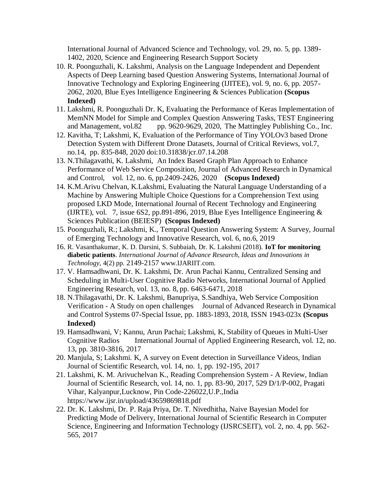International Journal of Advanced Science and Technology, vol. 29, no. 5, pp. 1389- 1402, 2020, Science and Engineering Research Support Society

- 10. R. Poonguzhali, K. Lakshmi, Analysis on the Language Independent and Dependent Aspects of Deep Learning based Question Answering Systems, International Journal of Innovative Technology and Exploring Engineering (IJITEE), vol. 9, no. 6, pp. 2057- 2062, 2020, Blue Eyes Intelligence Engineering & Sciences Publication **(Scopus Indexed)**
- 11. Lakshmi, R. Poonguzhali Dr. K, Evaluating the Performance of Keras Implementation of MemNN Model for Simple and Complex Question Answering Tasks, TEST Engineering and Management, vol.82 pp. 9620-9629, 2020, The Mattingley Publishing Co., Inc.
- 12. Kavitha, T; Lakshmi, K, Evaluation of the Performance of Tiny YOLOv3 based Drone Detection System with Different Drone Datasets, Journal of Critical Reviews, vol.7, no.14, pp. 835-848, 2020 doi:10.31838/jcr.07.14.208
- 13. N.Thilagavathi, K. Lakshmi, An Index Based Graph Plan Approach to Enhance Performance of Web Service Composition, Journal of Advanced Research in Dynamical and Control, vol. 12, no. 6, pp.2409-2426, 2020 **(Scopus Indexed)**
- 14. K.M.Arivu Chelvan, K.Lakshmi, Evaluating the Natural Language Understanding of a Machine by Answering Multiple Choice Questions for a Comprehension Text using proposed LKD Mode, International Journal of Recent Technology and Engineering (IJRTE), vol. 7, issue 6S2, pp.891-896, 2019, Blue Eyes Intelligence Engineering  $\&$ Sciences Publication (BEIESP) **(Scopus Indexed)**
- 15. Poonguzhali, R.; Lakshmi, K., Temporal Question Answering System: A Survey, Journal of Emerging Technology and Innovative Research, vol. 6, no.6, 2019
- 16. R. Vasanthakumar, K. D. Darsini, S. Subbaiah, Dr. K. Lakshmi (2018). **IoT for monitoring diabetic patients**. *International Journal of Advance Research, Ideas and Innovations in Technology*, 4(2) pp. 2149-2157 [www.IJARIIT.com.](https://www.ijariit.com/)
- 17. V. Hamsadhwani, Dr. K. Lakshmi, Dr. Arun Pachai Kannu, Centralized Sensing and Scheduling in Multi-User Cognitive Radio Networks, International Journal of Applied Engineering Research, vol. 13, no. 8, pp. 6463-6471, 2018
- 18. N.Thilagavathi, Dr. K. Lakshmi, Banupriya, S.Sandhiya, Web Service Composition Verification - A Study on open challenges Journal of Advanced Research in Dynamical and Control Systems 07-Special Issue, pp. 1883-1893, 2018, ISSN 1943-023x **(Scopus Indexed)**
- 19. Hamsadhwani, V; Kannu, Arun Pachai; Lakshmi, K, Stability of Queues in Multi-User Cognitive Radios International Journal of Applied Engineering Research, vol. 12, no. 13, pp. 3810-3816, 2017
- 20. Manjula, S; Lakshmi. K, A survey on Event detection in Surveillance Videos, Indian Journal of Scientific Research, vol. 14, no. 1, pp. 192-195, 2017
- 21. Lakshmi, K. M. Arivuchelvan K., Reading Comprehension System A Review, Indian Journal of Scientific Research, vol. 14, no. 1, pp. 83-90, 2017, 529 D/1/P-002, Pragati Vihar, Kalyanpur,Lucknow, Pin Code-226022,U.P.,India https://www.ijsr.in/upload/43659869818.pdf
- 22. Dr. K. Lakshmi, Dr. P. Raja Priya, Dr. T. Nivedhitha, Naive Bayesian Model for Predicting Mode of Delivery, International Journal of Scientific Research in Computer Science, Engineering and Information Technology (IJSRCSEIT), vol. 2, no. 4, pp. 562- 565, 2017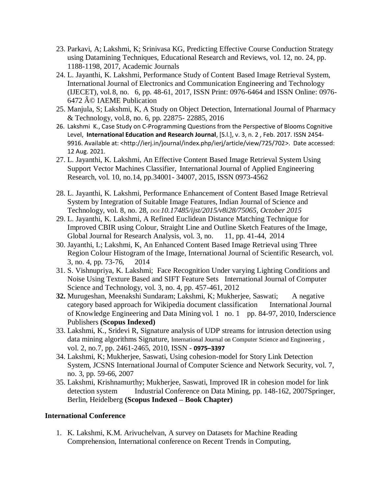- 23. Parkavi, A; Lakshmi, K; Srinivasa KG, Predicting Effective Course Conduction Strategy using Datamining Techniques, Educational Research and Reviews, vol. 12, no. 24, pp. 1188-1198, 2017, Academic Journals
- 24. L. Jayanthi, K. Lakshmi, Performance Study of Content Based Image Retrieval System, International Journal of Electronics and Communication Engineering and Technology (IJECET), vol.8, no. 6, pp. 48-61, 2017, ISSN Print: 0976-6464 and ISSN Online: 0976- 6472 © IAEME Publication
- 25. Manjula, S; Lakshmi, K, A Study on Object Detection, International Journal of Pharmacy & Technology, vol.8, no. 6, pp. 22875- 22885, 2016
- 26. Lakshmi K., Case Study on C-Programming Questions from the Perspective of Blooms Cognitive Level, **International Education and Research Journal**, [S.l.], v. 3, n. 2 , Feb. 2017. ISSN 2454- 9916. Available at: [<http://ierj.in/journal/index.php/ierj/article/view/725/702>](http://ierj.in/journal/index.php/ierj/article/view/725/702). Date accessed: 12 Aug. 2021.
- 27. L. Jayanthi, K. Lakshmi, An Effective Content Based Image Retrieval System Using Support Vector Machines Classifier, International Journal of Applied Engineering Research, vol. 10, no.14, pp.34001- 34007, 2015, ISSN 0973-4562
- 28. L. Jayanthi, K. Lakshmi, Performance Enhancement of Content Based Image Retrieval System by Integration of Suitable Image Features, Indian Journal of Science and Technology, vol. 8, no. 28, *DOI:10.17485/ijst/2015/v8i28/75065, October 2015*
- 29. L. Jayanthi, K. Lakshmi, A Refined Euclidean Distance Matching Technique for Improved CBIR using Colour, Straight Line and Outline Sketch Features of the Image, Global Journal for Research Analysis, vol. 3, no. 11, pp. 41-44, 2014
- 30. Jayanthi, L; Lakshmi, K, An Enhanced Content Based Image Retrieval using Three Region Colour Histogram of the Image, International Journal of Scientific Research, vol. 3, no. 4, pp. 73-76, 2014
- 31. S. Vishnupriya, K. Lakshmi; Face Recognition Under varying Lighting Conditions and Noise Using Texture Based and SIFT Feature Sets International Journal of Computer Science and Technology, vol. 3, no. 4, pp. 457-461, 2012
- **32.** Murugeshan, Meenakshi Sundaram; Lakshmi, K; Mukherjee, Saswati; A negative category based approach for Wikipedia document classification International Journal of Knowledge Engineering and Data Mining vol. 1 no. 1 pp. 84-97, 2010, Inderscience Publishers **(Scopus Indexed)**
- 33. Lakshmi, K., Sridevi R, Signature analysis of UDP streams for intrusion detection using data mining algorithms Signature, International Journal on Computer Science and Engineering, vol. 2, no.7, pp. 2461-2465, 2010, ISSN - **0975–3397**
- 34. Lakshmi, K; Mukherjee, Saswati, Using cohesion-model for Story Link Detection System, JCSNS International Journal of Computer Science and Network Security, vol. 7, no. 3, pp. 59-66, 2007
- 35. Lakshmi, Krishnamurthy; Mukherjee, Saswati, Improved IR in cohesion model for link detection system Industrial Conference on Data Mining, pp. 148-162, 2007Springer, Berlin, Heidelberg **(Scopus Indexed – Book Chapter)**

## **International Conference**

1. K. Lakshmi, K.M. Arivuchelvan, A survey on Datasets for Machine Reading Comprehension, International conference on Recent Trends in Computing,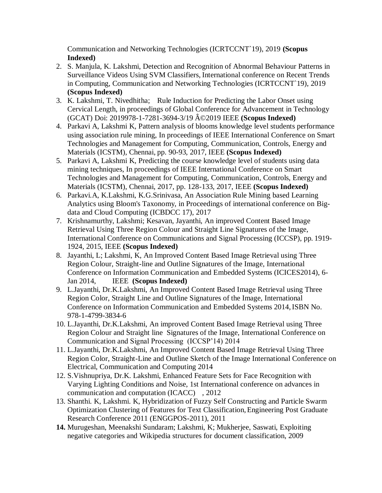Communication and Networking Technologies (ICRTCCNT`19), 2019 **(Scopus Indexed)**

- 2. S. Manjula, K. Lakshmi, Detection and Recognition of Abnormal Behaviour Patterns in Surveillance Videos Using SVM Classifiers, International conference on Recent Trends in Computing, Communication and Networking Technologies (ICRTCCNT`19), 2019 **(Scopus Indexed)**
- 3. K. Lakshmi, T. Nivedhitha; Rule Induction for Predicting the Labor Onset using Cervical Length, in proceedings of Global Conference for Advancement in Technology (GCAT) Doi: 2019978-1-7281-3694-3/19 ©2019 IEEE **(Scopus Indexed)**
- 4. Parkavi A, Lakshmi K, Pattern analysis of blooms knowledge level students performance using association rule mining, In proceedings of IEEE International Conference on Smart Technologies and Management for Computing, Communication, Controls, Energy and Materials (ICSTM), Chennai, pp. 90-93, 2017, IEEE **(Scopus Indexed)**
- 5. Parkavi A, Lakshmi K, Predicting the course knowledge level of students using data mining techniques, In proceedings of IEEE International Conference on Smart Technologies and Management for Computing, Communication, Controls, Energy and Materials (ICSTM), Chennai, 2017, pp. 128-133, 2017, IEEE **(Scopus Indexed)**
- 6. Parkavi.A, K.Lakshmi, K.G.Srinivasa, An Association Rule Mining based Learning Analytics using Bloom's Taxonomy, in Proceedings of international conference on Bigdata and Cloud Computing (ICBDCC 17), 2017
- 7. Krishnamurthy, Lakshmi; Kesavan, Jayanthi, An improved Content Based Image Retrieval Using Three Region Colour and Straight Line Signatures of the Image, International Conference on Communications and Signal Processing (ICCSP), pp. 1919- 1924, 2015, IEEE **(Scopus Indexed)**
- 8. Jayanthi, L; Lakshmi, K, An Improved Content Based Image Retrieval using Three Region Colour, Straight-line and Outline Signatures of the Image, International Conference on Information Communication and Embedded Systems (ICICES2014), 6- Jan 2014, IEEE **(Scopus Indexed)**
- 9. L.Jayanthi, Dr.K.Lakshmi, An Improved Content Based Image Retrieval using Three Region Color, Straight Line and Outline Signatures of the Image, International Conference on Information Communication and Embedded Systems 2014, ISBN No. 978-1-4799-3834-6
- 10. L.Jayanthi, Dr.K.Lakshmi, An improved Content Based Image Retrieval using Three Region Colour and Straight line Signatures of the Image, International Conference on Communication and Signal Processing (ICCSP'14) 2014
- 11. L.Jayanthi, Dr.K.Lakshmi, An Improved Content Based Image Retrieval Using Three Region Color, Straight-Line and Outline Sketch of the Image International Conference on Electrical, Communication and Computing 2014
- 12. S.Vishnupriya, Dr.K. Lakshmi, Enhanced Feature Sets for Face Recognition with Varying Lighting Conditions and Noise, 1st International conference on advances in communication and computation (ICACC) , 2012
- 13. Shanthi. K, Lakshmi. K, Hybridization of Fuzzy Self Constructing and Particle Swarm Optimization Clustering of Features for Text Classification,Engineering Post Graduate Research Conference 2011 (ENGGPOS-2011), 2011
- **14.** Murugeshan, Meenakshi Sundaram; Lakshmi, K; Mukherjee, Saswati, Exploiting negative categories and Wikipedia structures for document classification, 2009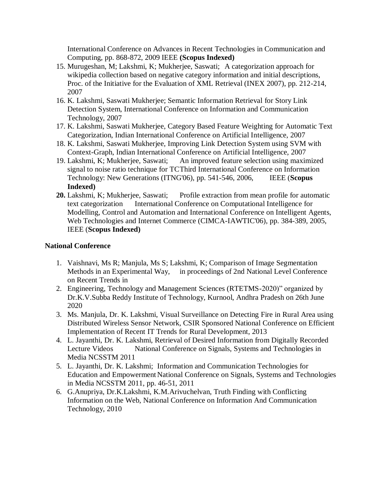International Conference on Advances in Recent Technologies in Communication and Computing, pp. 868-872, 2009 IEEE **(Scopus Indexed)**

- 15. Murugeshan, M; Lakshmi, K; Mukherjee, Saswati; A categorization approach for wikipedia collection based on negative category information and initial descriptions, Proc. of the Initiative for the Evaluation of XML Retrieval (INEX 2007), pp. 212-214, 2007
- 16. K. Lakshmi, Saswati Mukherjee; Semantic Information Retrieval for Story Link Detection System, International Conference on Information and Communication Technology, 2007
- 17. K. Lakshmi, Saswati Mukherjee, Category Based Feature Weighting for Automatic Text Categorization, Indian International Conference on Artificial Intelligence, 2007
- 18. K. Lakshmi, Saswati Mukherjee, Improving Link Detection System using SVM with Context-Graph, Indian International Conference on Artificial Intelligence, 2007
- 19. Lakshmi, K; Mukherjee, Saswati; An improved feature selection using maximized signal to noise ratio technique for TCThird International Conference on Information Technology: New Generations (ITNG'06), pp. 541-546, 2006, IEEE (**Scopus Indexed)**
- **20.** Lakshmi, K; Mukherjee, Saswati; Profile extraction from mean profile for automatic text categorization International Conference on Computational Intelligence for Modelling, Control and Automation and International Conference on Intelligent Agents, Web Technologies and Internet Commerce (CIMCA-IAWTIC'06), pp. 384-389, 2005, IEEE (**Scopus Indexed)**

# **National Conference**

- 1. Vaishnavi, Ms R; Manjula, Ms S; Lakshmi, K; Comparison of Image Segmentation Methods in an Experimental Way, in proceedings of 2nd National Level Conference on Recent Trends in
- 2. Engineering, Technology and Management Sciences (RTETMS-2020)" organized by Dr.K.V.Subba Reddy Institute of Technology, Kurnool, Andhra Pradesh on 26th June 2020
- 3. Ms. Manjula, Dr. K. Lakshmi, Visual Surveillance on Detecting Fire in Rural Area using Distributed Wireless Sensor Network, CSIR Sponsored National Conference on Efficient Implementation of Recent IT Trends for Rural Development, 2013
- 4. L. Jayanthi, Dr. K. Lakshmi, Retrieval of Desired Information from Digitally Recorded Lecture Videos National Conference on Signals, Systems and Technologies in Media NCSSTM 2011
- 5. L. Jayanthi, Dr. K. Lakshmi; Information and Communication Technologies for Education and Empowerment National Conference on Signals, Systems and Technologies in Media NCSSTM 2011, pp. 46-51, 2011
- 6. G.Anupriya, Dr.K.Lakshmi, K.M.Arivuchelvan, Truth Finding with Conflicting Information on the Web, National Conference on Information And Communication Technology, 2010